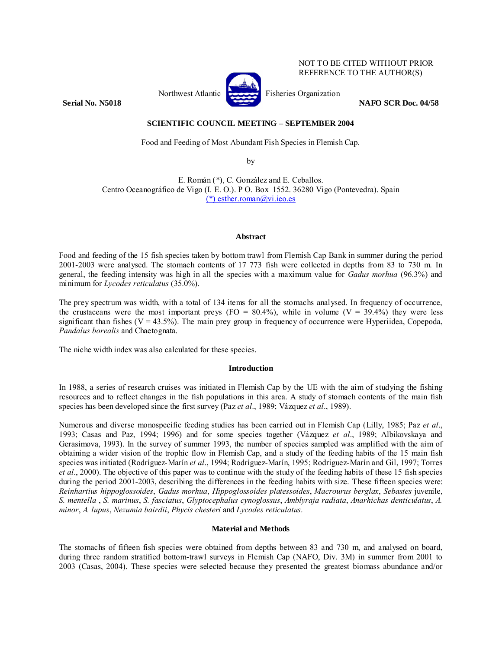Northwest Atlantic Fisheries Organization



NOT TO BE CITED WITHOUT PRIOR REFERENCE TO THE AUTHOR(S)

**Serial No. N5018 NAFO SCR Doc. 04/58** 

# **SCIENTIFIC COUNCIL MEETING – SEPTEMBER 2004**

Food and Feeding of Most Abundant Fish Species in Flemish Cap.

by

E. Román (\*), C. González and E. Ceballos. Centro Oceanográfico de Vigo (I. E. O.). P O. Box 1552. 36280 Vigo (Pontevedra). Spain (\*) esther.roman@vi.ieo.es

### **Abstract**

Food and feeding of the 15 fish species taken by bottom trawl from Flemish Cap Bank in summer during the period 2001-2003 were analysed. The stomach contents of 17 773 fish were collected in depths from 83 to 730 m. In general, the feeding intensity was high in all the species with a maximum value for *Gadus morhua* (96.3%) and minimum for *Lycodes reticulatus* (35.0%).

The prey spectrum was width, with a total of 134 items for all the stomachs analysed. In frequency of occurrence, the crustaceans were the most important preys (FO =  $80.4\%$ ), while in volume (V = 39.4%) they were less significant than fishes ( $V = 43.5\%$ ). The main prey group in frequency of occurrence were Hyperiidea, Copepoda, *Pandalus borealis* and Chaetognata.

The niche width index was also calculated for these species.

## **Introduction**

In 1988, a series of research cruises was initiated in Flemish Cap by the UE with the aim of studying the fishing resources and to reflect changes in the fish populations in this area. A study of stomach contents of the main fish species has been developed since the first survey (Paz *et al*., 1989; Vázquez *et al*., 1989).

Numerous and diverse monospecific feeding studies has been carried out in Flemish Cap (Lilly, 1985; Paz *et al*., 1993; Casas and Paz, 1994; 1996) and for some species together (Vázquez *et al*., 1989; Albikovskaya and Gerasimova, 1993). In the survey of summer 1993, the number of species sampled was amplified with the aim of obtaining a wider vision of the trophic flow in Flemish Cap, and a study of the feeding habits of the 15 main fish species was initiated (Rodríguez-Marín *et al*., 1994; Rodríguez-Marín, 1995; Rodríguez-Marín and Gil, 1997; Torres *et al*., 2000). The objective of this paper was to continue with the study of the feeding habits of these 15 fish species during the period 2001-2003, describing the differences in the feeding habits with size. These fifteen species were: *Reinhartius hippoglossoides*, *Gadus morhua*, *Hippoglossoides platessoides*, *Macrourus berglax*, *Sebastes* juvenile, *S. mentella* , *S. marinus*, *S. fasciatus*, *Glyptocephalus cynoglossus*, *Amblyraja radiata*, *Anarhichas denticulatus*, *A. minor*, *A. lupus*, *Nezumia bairdii*, *Phycis chesteri* and *Lycodes reticulatus*.

## **Material and Methods**

The stomachs of fifteen fish species were obtained from depths between 83 and 730 m, and analysed on board, during three random stratified bottom-trawl surveys in Flemish Cap (NAFO, Div. 3M) in summer from 2001 to 2003 (Casas, 2004). These species were selected because they presented the greatest biomass abundance and/or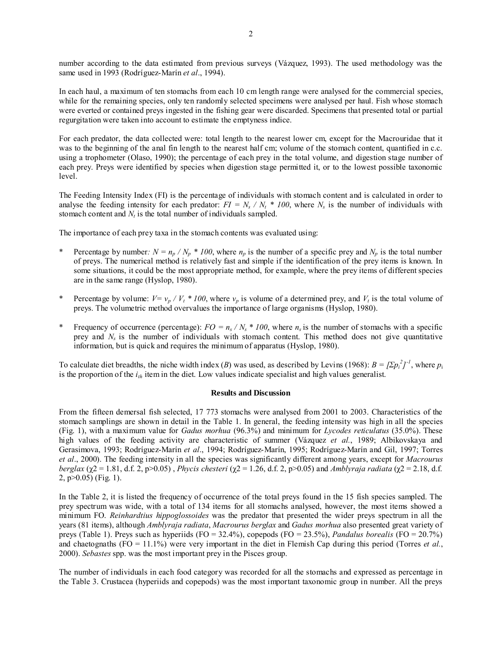number according to the data estimated from previous surveys (Vázquez, 1993). The used methodology was the same used in 1993 (Rodríguez-Marín *et al*., 1994).

In each haul, a maximum of ten stomachs from each 10 cm length range were analysed for the commercial species, while for the remaining species, only ten randomly selected specimens were analysed per haul. Fish whose stomach were everted or contained preys ingested in the fishing gear were discarded. Specimens that presented total or partial regurgitation were taken into account to estimate the emptyness indice.

For each predator, the data collected were: total length to the nearest lower cm, except for the Macrouridae that it was to the beginning of the anal fin length to the nearest half cm; volume of the stomach content, quantified in c.c. using a trophometer (Olaso, 1990); the percentage of each prey in the total volume, and digestion stage number of each prey. Preys were identified by species when digestion stage permitted it, or to the lowest possible taxonomic level.

The Feeding Intensity Index (FI) is the percentage of individuals with stomach content and is calculated in order to analyse the feeding intensity for each predator:  $FI = N_s / N_t * 100$ , where  $N_s$  is the number of individuals with stomach content and  $N_t$  is the total number of individuals sampled.

The importance of each prey taxa in the stomach contents was evaluated using:

- Percentage by number:  $N = n_p / N_p * 100$ , where  $n_p$  is the number of a specific prey and  $N_p$  is the total number of preys. The numerical method is relatively fast and simple if the identification of the prey items is known. In some situations, it could be the most appropriate method, for example, where the prey items of different species are in the same range (Hyslop, 1980).
- Percentage by volume:  $V = v_p / V_t * 100$ , where  $v_p$  is volume of a determined prey, and  $V_t$  is the total volume of preys. The volumetric method overvalues the importance of large organisms (Hyslop, 1980).
- Frequency of occurrence (percentage):  $FO = n_s / N_s * 100$ , where  $n_s$  is the number of stomachs with a specific prey and  $N_s$  is the number of individuals with stomach content. This method does not give quantitative information, but is quick and requires the minimum of apparatus (Hyslop, 1980).

To calculate diet breadths, the niche width index (*B*) was used, as described by Levins (1968):  $B = [\Sigma p_i^2]^{-1}$ , where  $p_i$ is the proportion of the  $i_{th}$  item in the diet. Low values indicate specialist and high values generalist.

### **Results and Discussion**

From the fifteen demersal fish selected, 17 773 stomachs were analysed from 2001 to 2003. Characteristics of the stomach samplings are shown in detail in the Table 1. In general, the feeding intensity was high in all the species (Fig. 1), with a maximum value for *Gadus morhua* (96.3%) and minimum for *Lycodes reticulatus* (35.0%). These high values of the feeding activity are characteristic of summer (Vázquez *et al.*, 1989; Albikovskaya and Gerasimova, 1993; Rodríguez-Marín *et al*., 1994; Rodríguez-Marín, 1995; Rodríguez-Marín and Gil, 1997; Torres *et al*., 2000). The feeding intensity in all the species was significantly different among years, except for *Macrourus berglax* (χ2 = 1.81, d.f. 2, p>0.05) , *Phycis chesteri* (χ2 = 1.26, d.f. 2, p>0.05) and *Amblyraja radiata* (χ2 = 2.18, d.f. 2, p>0.05) (Fig. 1).

In the Table 2, it is listed the frequency of occurrence of the total preys found in the 15 fish species sampled. The prey spectrum was wide, with a total of 134 items for all stomachs analysed, however, the most items showed a minimum FO. *Reinhardtius hippoglossoides* was the predator that presented the wider preys spectrum in all the years (81 items), although *Amblyraja radiata*, *Macrourus berglax* and *Gadus morhua* also presented great variety of preys (Table 1). Preys such as hyperiids (FO = 32.4%), copepods (FO = 23.5%), *Pandalus borealis* (FO = 20.7%) and chaetognaths (FO = 11.1%) were very important in the diet in Flemish Cap during this period (Torres *et al.*, 2000). *Sebastes* spp. was the most important prey in the Pisces group.

The number of individuals in each food category was recorded for all the stomachs and expressed as percentage in the Table 3. Crustacea (hyperiids and copepods) was the most important taxonomic group in number. All the preys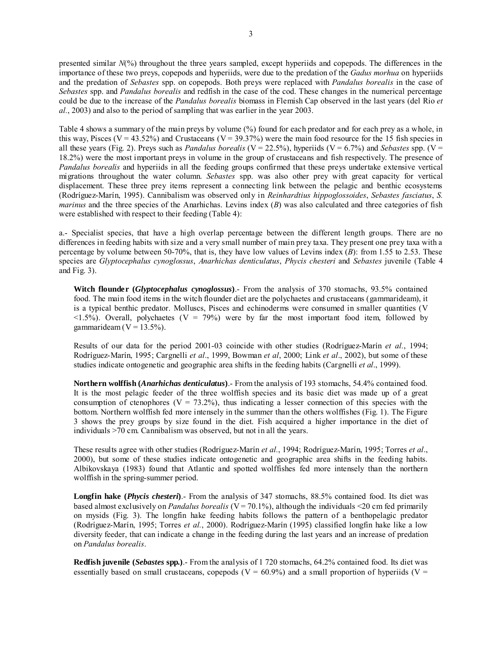presented similar *N*(%) throughout the three years sampled, except hyperiids and copepods. The differences in the importance of these two preys, copepods and hyperiids, were due to the predation of the *Gadus morhua* on hyperiids and the predation of *Sebastes* spp. on copepods. Both preys were replaced with *Pandalus borealis* in the case of *Sebastes* spp. and *Pandalus borealis* and redfish in the case of the cod. These changes in the numerical percentage could be due to the increase of the *Pandalus borealis* biomass in Flemish Cap observed in the last years (del Rio *et al.*, 2003) and also to the period of sampling that was earlier in the year 2003.

Table 4 shows a summary of the main preys by volume (%) found for each predator and for each prey as a whole, in this way, Pisces ( $V = 43.52\%$ ) and Crustaceans ( $V = 39.37\%$ ) were the main food resource for the 15 fish species in all these years (Fig. 2). Preys such as *Pandalus borealis* (V = 22.5%), hyperiids (V = 6.7%) and *Sebastes* spp. (V = 18.2%) were the most important preys in volume in the group of crustaceans and fish respectively. The presence of *Pandalus borealis* and hyperiids in all the feeding groups confirmed that these preys undertake extensive vertical migrations throughout the water column. *Sebastes* spp. was also other prey with great capacity for vertical displacement. These three prey items represent a connecting link between the pelagic and benthic ecosystems (Rodríguez-Marín, 1995). Cannibalism was observed only in *Reinhardtius hippoglossoides*, *Sebastes fasciatus*, *S. marinus* and the three species of the Anarhichas. Levins index (*B*) was also calculated and three categories of fish were established with respect to their feeding (Table 4):

a.- Specialist species, that have a high overlap percentage between the different length groups. There are no differences in feeding habits with size and a very small number of main prey taxa. They present one prey taxa with a percentage by volume between 50-70%, that is, they have low values of Levins index (*B*): from 1.55 to 2.53. These species are *Glyptocephalus cynoglossus*, *Anarhichas denticulatus*, *Phycis chesteri* and *Sebastes* juvenile (Table 4 and Fig. 3).

**Witch flounder (***Glyptocephalus cynoglossus***)**.- From the analysis of 370 stomachs, 93.5% contained food. The main food items in the witch flounder diet are the polychaetes and crustaceans (gammarideam), it is a typical benthic predator. Molluscs, Pisces and echinoderms were consumed in smaller quantities (V  $\langle 1.5\% \rangle$ . Overall, polychaetes (V = 79%) were by far the most important food item, followed by gammarideam ( $V = 13.5\%$ ).

Results of our data for the period 2001-03 coincide with other studies (Rodríguez-Marín *et al.*, 1994; Rodríguez-Marín, 1995; Cargnelli *et al*., 1999, Bowman *et al*, 2000; Link *et al*., 2002), but some of these studies indicate ontogenetic and geographic area shifts in the feeding habits (Cargnelli *et al*., 1999).

**Northern wolffish (***Anarhichas denticulatus***)**.- From the analysis of 193 stomachs, 54.4% contained food. It is the most pelagic feeder of the three wolffish species and its basic diet was made up of a great consumption of ctenophores ( $V = 73.2\%$ ), thus indicating a lesser connection of this species with the bottom. Northern wolffish fed more intensely in the summer than the others wolffishes (Fig. 1). The Figure 3 shows the prey groups by size found in the diet. Fish acquired a higher importance in the diet of individuals >70 cm. Cannibalism was observed, but not in all the years.

These results agree with other studies (Rodríguez-Marín *et al.*, 1994; Rodríguez-Marín, 1995; Torres *et al*., 2000), but some of these studies indicate ontogenetic and geographic area shifts in the feeding habits. Albikovskaya (1983) found that Atlantic and spotted wolffishes fed more intensely than the northern wolffish in the spring-summer period.

**Longfin hake (***Phycis chesteri***)**.- From the analysis of 347 stomachs, 88.5% contained food. Its diet was based almost exclusively on *Pandalus borealis* (V = 70.1%), although the individuals <20 cm fed primarily on mysids (Fig. 3). The longfin hake feeding habits follows the pattern of a benthopelagic predator (Rodríguez-Marín, 1995; Torres *et al.*, 2000). Rodríguez-Marín (1995) classified longfin hake like a low diversity feeder, that can indicate a change in the feeding during the last years and an increase of predation on *Pandalus borealis*.

**Redfish juvenile (***Sebastes* **spp.)**.- From the analysis of 1 720 stomachs, 64.2% contained food. Its diet was essentially based on small crustaceans, copepods ( $V = 60.9\%$ ) and a small proportion of hyperiids ( $V =$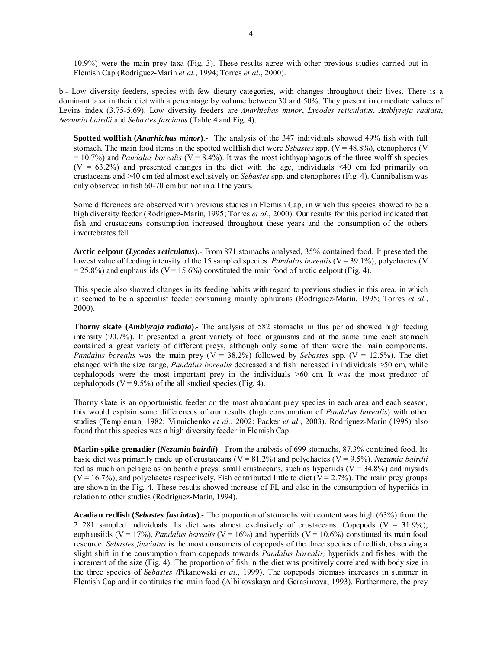10.9%) were the main prey taxa (Fig. 3). These results agree with other previous studies carried out in Flemish Cap (Rodríguez-Marín *et al.*, 1994; Torres *et al*., 2000).

b.- Low diversity feeders, species with few dietary categories, with changes throughout their lives. There is a dominant taxa in their diet with a percentage by volume between 30 and 50%. They present intermediate values of Levins index (3.75-5.69). Low diversity feeders are *Anarhichas minor*, *Lycodes reticulatus*, *Amblyraja radiata*, *Nezumia bairdii* and *Sebastes fasciatus* (Table 4 and Fig. 4).

**Spotted wolffish (***Anarhichas minor***)**.- The analysis of the 347 individuals showed 49% fish with full stomach. The main food items in the spotted wolffish diet were *Sebastes* spp. (V = 48.8%), ctenophores (V  $= 10.7\%$ ) and *Pandalus borealis* (V = 8.4%). It was the most ichthyophagous of the three wolffish species  $(V = 63.2%)$  and presented changes in the diet with the age, individuals <40 cm fed primarily on crustaceans and >40 cm fed almost exclusively on *Sebastes* spp. and ctenophores (Fig. 4). Cannibalism was only observed in fish 60-70 cm but not in all the years.

Some differences are observed with previous studies in Flemish Cap, in which this species showed to be a high diversity feeder (Rodríguez-Marín, 1995; Torres *et al.*, 2000). Our results for this period indicated that fish and crustaceans consumption increased throughout these years and the consumption of the others invertebrates fell.

**Arctic eelpout (***Lycodes reticulatus***)**.- From 871 stomachs analysed, 35% contained food. It presented the lowest value of feeding intensity of the 15 sampled species. *Pandalus borealis* (V = 39.1%), polychaetes (V  $= 25.8\%$ ) and euphausiids (V = 15.6%) constituted the main food of arctic eelpout (Fig. 4).

This specie also showed changes in its feeding habits with regard to previous studies in this area, in which it seemed to be a specialist feeder consuming mainly ophiurans (Rodríguez-Marín, 1995; Torres *et al.*, 2000).

**Thorny skate (***Amblyraja radiata***)**.- The analysis of 582 stomachs in this period showed high feeding intensity (90.7%). It presented a great variety of food organisms and at the same time each stomach contained a great variety of different preys, although only some of them were the main components. *Pandalus borealis* was the main prey ( $V = 38.2\%$ ) followed by *Sebastes* spp. ( $V = 12.5\%$ ). The diet changed with the size range, *Pandalus borealis* decreased and fish increased in individuals >50 cm, while cephalopods were the most important prey in the individuals >60 cm. It was the most predator of cephalopods ( $V = 9.5\%$ ) of the all studied species (Fig. 4).

Thorny skate is an opportunistic feeder on the most abundant prey species in each area and each season, this would explain some differences of our results (high consumption of *Pandalus borealis*) with other studies (Templeman, 1982; Vinnichenko *et al.*, 2002; Packer *et al.*, 2003). Rodríguez-Marín (1995) also found that this species was a high diversity feeder in Flemish Cap.

**Marlin-spike grenadier (***Nezumia bairdii***)**.- From the analysis of 699 stomachs, 87.3% contained food. Its basic diet was primarily made up of crustaceans (V = 81.2%) and polychaetes (V = 9.5%). *Nezumia bairdii*  fed as much on pelagic as on benthic preys: small crustaceans, such as hyperiids  $(V = 34.8\%)$  and mysids  $(V = 16.7\%)$ , and polychaetes respectively. Fish contributed little to diet  $(V = 2.7\%)$ . The main prey groups are shown in the Fig. 4. These results showed increase of FI, and also in the consumption of hyperiids in relation to other studies (Rodríguez-Marín, 1994).

**Acadian redfish (***Sebastes fasciatus***)**.- The proportion of stomachs with content was high (63%) from the 2 281 sampled individuals. Its diet was almost exclusively of crustaceans. Copepods  $(V = 31.9\%)$ , euphausiids ( $V = 17\%$ ), *Pandalus borealis* ( $V = 16\%$ ) and hyperiids ( $V = 10.6\%$ ) constituted its main food resource. *Sebastes fasciatus* is the most consumers of copepods of the three species of redfish, observing a slight shift in the consumption from copepods towards *Pandalus borealis,* hyperiids and fishes, with the increment of the size (Fig. 4). The proportion of fish in the diet was positively correlated with body size in the three species of *Sebastes (*Pikanowski *et al*., 1999). The copepods biomass increases in summer in Flemish Cap and it contitutes the main food (Albikovskaya and Gerasimova, 1993). Furthermore, the prey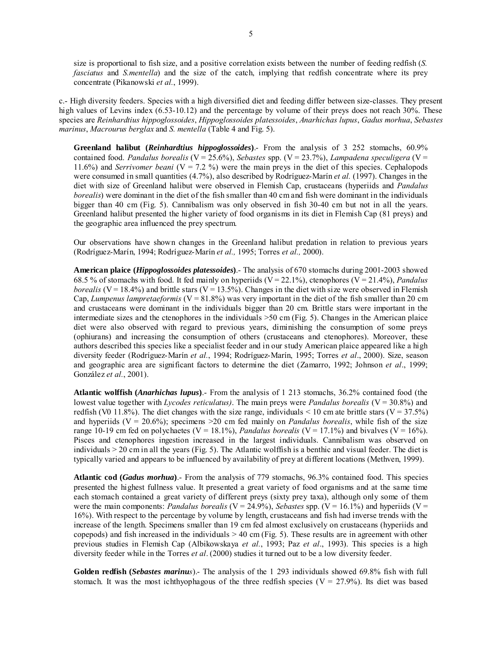size is proportional to fish size, and a positive correlation exists between the number of feeding redfish (*S. fasciatus* and *S.mentella*) and the size of the catch, implying that redfish concentrate where its prey concentrate (Pikanowski *et al.*, 1999).

c.- High diversity feeders. Species with a high diversified diet and feeding differ between size-classes. They present high values of Levins index (6.53-10.12) and the percentage by volume of their preys does not reach 30%. These species are *Reinhardtius hippoglossoides*, *Hippoglossoides platessoides*, *Anarhichas lupus*, *Gadus morhua*, *Sebastes marinus*, *Macrourus berglax* and *S. mentella* (Table 4 and Fig. 5).

**Greenland halibut (***Reinhardtius hippoglossoides***)**.- From the analysis of 3 252 stomachs, 60.9% contained food. *Pandalus borealis* (V = 25.6%), *Sebastes* spp. (V = 23.7%), *Lampadena speculigera* (V = 11.6%) and *Serrivomer beani* ( $V = 7.2$ %) were the main preys in the diet of this species. Cephalopods were consumed in small quantities (4.7%), also described by Rodríguez-Marín *et al.* (1997). Changes in the diet with size of Greenland halibut were observed in Flemish Cap, crustaceans (hyperiids and *Pandalus borealis*) were dominant in the diet of the fish smaller than 40 cm and fish were dominant in the individuals bigger than 40 cm (Fig. 5). Cannibalism was only observed in fish 30-40 cm but not in all the years. Greenland halibut presented the higher variety of food organisms in its diet in Flemish Cap (81 preys) and the geographic area influenced the prey spectrum.

Our observations have shown changes in the Greenland halibut predation in relation to previous years (Rodríguez-Marín, 1994; Rodríguez-Marín *et al.,* 1995; Torres *et al.,* 2000).

**American plaice (***Hippoglossoides platessoides***)**.- The analysis of 670 stomachs during 2001-2003 showed 68.5 % of stomachs with food. It fed mainly on hyperiids (V = 22.1%), ctenophores (V = 21.4%), *Pandalus borealis* (V = 18.4%) and brittle stars (V = 13.5%). Changes in the diet with size were observed in Flemish Cap, *Lumpenus lampretaeformis* ( $V = 81.8\%$ ) was very important in the diet of the fish smaller than 20 cm and crustaceans were dominant in the individuals bigger than 20 cm. Brittle stars were important in the intermediate sizes and the ctenophores in the individuals >50 cm (Fig. 5). Changes in the American plaice diet were also observed with regard to previous years, diminishing the consumption of some preys (ophiurans) and increasing the consumption of others (crustaceans and ctenophores). Moreover, these authors described this species like a specialist feeder and in our study American plaice appeared like a high diversity feeder (Rodríguez-Marín *et al.*, 1994; Rodríguez-Marín, 1995; Torres *et al*., 2000). Size, season and geographic area are significant factors to determine the diet (Zamarro, 1992; Johnson *et al*., 1999; González *et al.*, 2001).

**Atlantic wolffish (***Anarhichas lupus***)**.- From the analysis of 1 213 stomachs, 36.2% contained food (the lowest value together with *Lycodes reticulatus*). The main preys were *Pandalus borealis* (V = 30.8%) and redfish (V0 11.8%). The diet changes with the size range, individuals  $\leq 10$  cm ate brittle stars (V = 37.5%) and hyperiids ( $V = 20.6\%$ ); specimens >20 cm fed mainly on *Pandalus borealis*, while fish of the size range 10-19 cm fed on polychaetes ( $V = 18.1\%$ ), *Pandalus borealis* ( $V = 17.1\%$ ) and bivalves ( $V = 16\%$ ). Pisces and ctenophores ingestion increased in the largest individuals. Cannibalism was observed on individuals > 20 cm in all the years (Fig. 5). The Atlantic wolffish is a benthic and visual feeder. The diet is typically varied and appears to be influenced by availability of prey at different locations (Methven, 1999).

**Atlantic cod (***Gadus morhua***)**.- From the analysis of 779 stomachs, 96.3% contained food. This species presented the highest fullness value. It presented a great variety of food organisms and at the same time each stomach contained a great variety of different preys (sixty prey taxa), although only some of them were the main components: *Pandalus borealis* ( $V = 24.9\%$ ), *Sebastes* spp. ( $V = 16.1\%$ ) and hyperiids ( $V =$ 16%). With respect to the percentage by volume by length, crustaceans and fish had inverse trends with the increase of the length. Specimens smaller than 19 cm fed almost exclusively on crustaceans (hyperiids and copepods) and fish increased in the individuals  $> 40$  cm (Fig. 5). These results are in agreement with other previous studies in Flemish Cap (Albikowskaya *et al.*, 1993; Paz *et al*., 1993). This species is a high diversity feeder while in the Torres *et al*. (2000) studies it turned out to be a low diversity feeder.

**Golden redfish (***Sebastes marinus*).- The analysis of the 1 293 individuals showed 69.8% fish with full stomach. It was the most ichthyophagous of the three redfish species ( $V = 27.9\%$ ). Its diet was based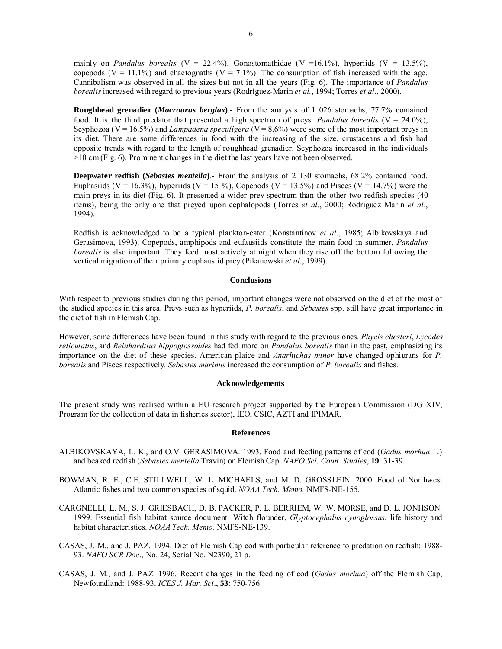mainly on *Pandalus borealis* (V = 22.4%), Gonostomathidae (V = 16.1%), hyperiids (V = 13.5%), copepods  $(V = 11.1\%)$  and chaetognaths  $(V = 7.1\%)$ . The consumption of fish increased with the age. Cannibalism was observed in all the sizes but not in all the years (Fig. 6). The importance of *Pandalus borealis* increased with regard to previous years (Rodríguez-Marín *et al.*, 1994; Torres *et al.*, 2000).

**Roughhead grenadier (***Macrourus berglax***)**.- From the analysis of 1 026 stomachs, 77.7% contained food. It is the third predator that presented a high spectrum of preys: *Pandalus borealis* ( $V = 24.0\%$ ), Scyphozoa ( $V = 16.5\%$ ) and *Lampadena speculigera* ( $V = 8.6\%$ ) were some of the most important preys in its diet. There are some differences in food with the increasing of the size, crustaceans and fish had opposite trends with regard to the length of roughhead grenadier. Scyphozoa increased in the individuals >10 cm (Fig. 6). Prominent changes in the diet the last years have not been observed.

**Deepwater redfish (***Sebastes mentella***)**.- From the analysis of 2 130 stomachs, 68.2% contained food. Euphasiids (V = 16.3%), hyperiids (V = 15 %), Copepods (V = 13.5%) and Pisces (V = 14.7%) were the main preys in its diet (Fig. 6). It presented a wider prey spectrum than the other two redfish species (40 items), being the only one that preyed upon cephalopods (Torres *et al.*, 2000; Rodriguez Marin *et al*., 1994).

Redfish is acknowledged to be a typical plankton-eater (Konstantinov *et al*., 1985; Albikovskaya and Gerasimova, 1993). Copepods, amphipods and eufausiids constitute the main food in summer, *Pandalus borealis* is also important. They feed most actively at night when they rise off the bottom following the vertical migration of their primary euphausiid prey (Pikanowski *et al.*, 1999).

#### **Conclusions**

With respect to previous studies during this period, important changes were not observed on the diet of the most of the studied species in this area. Preys such as hyperiids, *P. borealis*, and *Sebastes* spp. still have great importance in the diet of fish in Flemish Cap.

However, some differences have been found in this study with regard to the previous ones. *Phycis chesteri*, *Lycodes reticulatus*, and *Reinhardtius hippoglossoides* had fed more on *Pandalus borealis* than in the past, emphasizing its importance on the diet of these species. American plaice and *Anarhichas minor* have changed ophiurans for *P. borealis* and Pisces respectively. *Sebastes marinus* increased the consumption of *P. borealis* and fishes.

#### **Acknowledgements**

The present study was realised within a EU research project supported by the European Commission (DG XIV, Program for the collection of data in fisheries sector), IEO, CSIC, AZTI and IPIMAR.

#### **References**

- ALBIKOVSKAYA, L. K., and O.V. GERASIMOVA. 1993. Food and feeding patterns of cod (*Gadus morhua* L.) and beaked redfish (*Sebastes mentella* Travin) on Flemish Cap. *NAFO Sci. Coun. Studies*, **19**: 31-39.
- BOWMAN, R. E., C.E. STILLWELL, W. L. MICHAELS, and M. D. GROSSLEIN. 2000. Food of Northwest Atlantic fishes and two common species of squid. *NOAA Tech. Memo.* NMFS-NE-155.
- CARGNELLI, L. M., S. J. GRIESBACH, D. B. PACKER, P. L. BERRIEM, W. W. MORSE, and D. L. JONHSON. 1999. Essential fish habitat source document: Witch flounder, *Glyptocephalus cynoglossus*, life history and habitat characteristics. *NOAA Tech. Memo.* NMFS-NE-139.
- CASAS, J. M., and J. PAZ. 1994. Diet of Flemish Cap cod with particular reference to predation on redfish: 1988- 93. *NAFO SCR Doc*., No. 24, Serial No. N2390, 21 p.
- CASAS, J. M., and J. PAZ. 1996. Recent changes in the feeding of cod (*Gadus morhua*) off the Flemish Cap, Newfoundland: 1988-93. *ICES J. Mar. Sci*., **53**: 750-756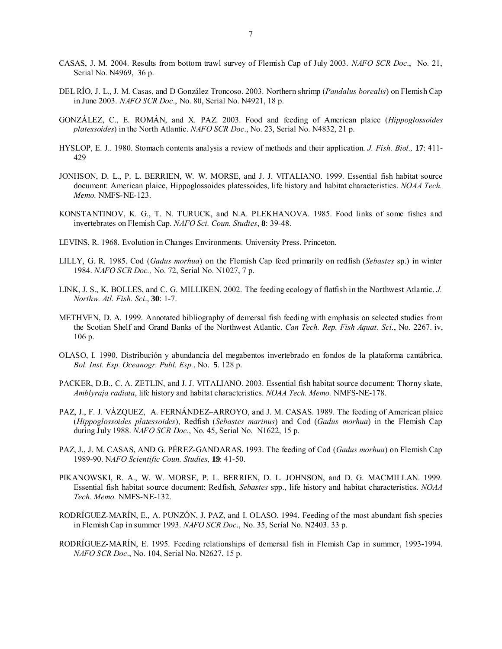- CASAS, J. M. 2004. Results from bottom trawl survey of Flemish Cap of July 2003. *NAFO SCR Doc*., No. 21, Serial No. N4969, 36 p.
- DEL RÍO, J. L., J. M. Casas, and D González Troncoso. 2003. Northern shrimp (*Pandalus borealis*) on Flemish Cap in June 2003. *NAFO SCR Doc*., No. 80, Serial No. N4921, 18 p.
- GONZÁLEZ, C., E. ROMÁN, and X. PAZ. 2003. Food and feeding of American plaice (*Hippoglossoides platessoides*) in the North Atlantic. *NAFO SCR Doc*., No. 23, Serial No. N4832, 21 p.
- HYSLOP, E. J.. 1980. Stomach contents analysis a review of methods and their application. *J. Fish. Biol.,* **17**: 411- 429
- JONHSON, D. L., P. L. BERRIEN, W. W. MORSE, and J. J. VITALIANO. 1999. Essential fish habitat source document: American plaice, Hippoglossoides platessoides, life history and habitat characteristics. *NOAA Tech. Memo.* NMFS-NE-123.
- KONSTANTINOV, K. G., T. N. TURUCK, and N.A. PLEKHANOVA. 1985. Food links of some fishes and invertebrates on Flemish Cap. *NAFO Sci. Coun. Studies*, **8**: 39-48.
- LEVINS, R. 1968. Evolution in Changes Environments. University Press. Princeton.
- LILLY, G. R. 1985. Cod (*Gadus morhua*) on the Flemish Cap feed primarily on redfish (*Sebastes* sp.) in winter 1984. *NAFO SCR Doc.,* No. 72, Serial No. N1027, 7 p.
- LINK, J. S., K. BOLLES, and C. G. MILLIKEN. 2002. The feeding ecology of flatfish in the Northwest Atlantic. *J. Northw. Atl. Fish. Sci*., **30**: 1-7.
- METHVEN, D. A. 1999. Annotated bibliography of demersal fish feeding with emphasis on selected studies from the Scotian Shelf and Grand Banks of the Northwest Atlantic. *Can Tech. Rep. Fish Aquat. Sci.*, No. 2267. iv, 106 p.
- OLASO, I. 1990. Distribución y abundancia del megabentos invertebrado en fondos de la plataforma cantábrica. *Bol. Inst. Esp. Oceanogr. Publ. Esp.*, No. **5**. 128 p.
- PACKER, D.B., C. A. ZETLIN, and J. J. VITALIANO. 2003. Essential fish habitat source document: Thorny skate, *Amblyraja radiata*, life history and habitat characteristics. *NOAA Tech. Memo.* NMFS-NE-178.
- PAZ, J., F. J. VÁZQUEZ, A. FERNÁNDEZ–ARROYO, and J. M. CASAS. 1989. The feeding of American plaice (*Hippoglossoides platessoides*), Redfish (*Sebastes marinus*) and Cod (*Gadus morhua*) in the Flemish Cap during July 1988. *NAFO SCR Doc*., No. 45, Serial No. N1622, 15 p.
- PAZ, J., J. M. CASAS, AND G. PÉREZ-GANDARAS. 1993. The feeding of Cod (*Gadus morhua*) on Flemish Cap 1989-90. N*AFO Scientific Coun. Studies,* **19**: 41-50.
- PIKANOWSKI, R. A., W. W. MORSE, P. L. BERRIEN, D. L. JOHNSON, and D. G. MACMILLAN. 1999. Essential fish habitat source document: Redfish, *Sebastes* spp., life history and habitat characteristics. *NOAA Tech. Memo.* NMFS-NE-132.
- RODRÍGUEZ-MARÍN, E., A. PUNZÓN, J. PAZ, and I. OLASO. 1994. Feeding of the most abundant fish species in Flemish Cap in summer 1993. *NAFO SCR Doc*., No. 35, Serial No. N2403. 33 p.
- RODRÍGUEZ-MARÍN, E. 1995. Feeding relationships of demersal fish in Flemish Cap in summer, 1993-1994. *NAFO SCR Doc*., No. 104, Serial No. N2627, 15 p.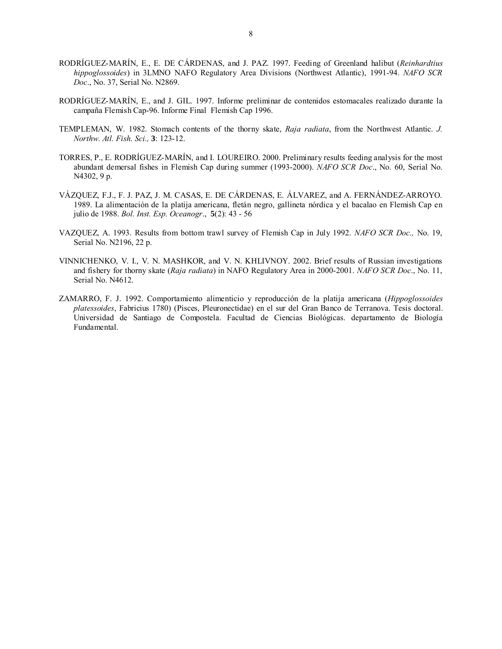- RODRÍGUEZ-MARÍN, E., E. DE CÁRDENAS, and J. PAZ. 1997. Feeding of Greenland halibut (*Reinhardtius hippoglossoides*) in 3LMNO NAFO Regulatory Area Divisions (Northwest Atlantic), 1991-94. *NAFO SCR Doc*., No. 37, Serial No. N2869.
- RODRÍGUEZ-MARÍN, E., and J. GIL. 1997. Informe preliminar de contenidos estomacales realizado durante la campaña Flemish Cap-96. Informe Final Flemish Cap 1996.
- TEMPLEMAN, W. 1982. Stomach contents of the thorny skate, *Raja radiata*, from the Northwest Atlantic. *J. Northw. Atl. Fish. Sci.,* **3**: 123-12.
- TORRES, P., E. RODRÍGUEZ-MARÍN, and I. LOUREIRO. 2000. Preliminary results feeding analysis for the most abundant demersal fishes in Flemish Cap during summer (1993-2000). *NAFO SCR Doc*., No. 60, Serial No. N4302, 9 p.
- VÁZQUEZ, F.J., F. J. PAZ, J. M. CASAS, E. DE CÁRDENAS, E. ÁLVAREZ, and A. FERNÁNDEZ-ARROYO. 1989. La alimentación de la platija americana, fletán negro, gallineta nórdica y el bacalao en Flemish Cap en julio de 1988. *Bol. Inst. Esp. Oceanogr*., **5**(2): 43 - 56
- VAZQUEZ, A. 1993. Results from bottom trawl survey of Flemish Cap in July 1992. *NAFO SCR Doc.,* No. 19, Serial No. N2196, 22 p.
- VINNICHENKO, V. I., V. N. MASHKOR, and V. N. KHLIVNOY. 2002. Brief results of Russian investigations and fishery for thorny skate (*Raja radiata*) in NAFO Regulatory Area in 2000-2001. *NAFO SCR Doc*., No. 11, Serial No. N4612.
- ZAMARRO, F. J. 1992. Comportamiento alimenticio y reproducción de la platija americana (*Hippoglossoides platessoides*, Fabricius 1780) (Pisces, Pleuronectidae) en el sur del Gran Banco de Terranova. Tesis doctoral. Universidad de Santiago de Compostela. Facultad de Ciencias Biológicas. departamento de Biología Fundamental.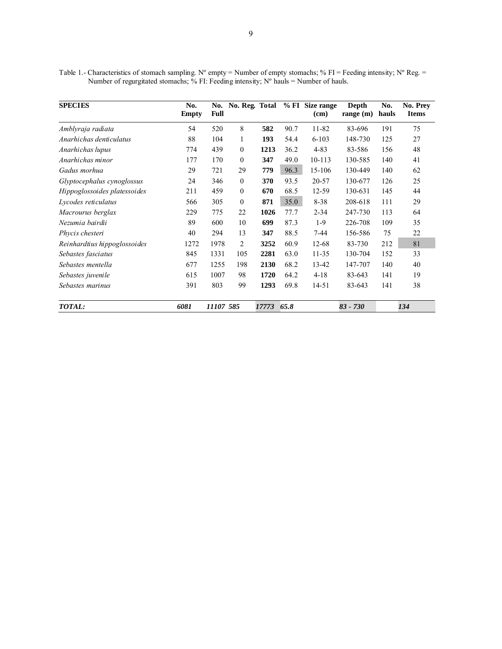Table 1.- Characteristics of stomach sampling. N° empty = Number of empty stomachs; % FI = Feeding intensity; N° Reg. = Number of regurgitated stomachs; % FI: Feeding intensity;  $N^{\circ}$  hauls = Number of hauls.

| <b>SPECIES</b>               | No.<br><b>Empty</b> | No.<br><b>Full</b> |              | No. Reg. Total |      | % FI Size range<br>(cm) | Depth<br>range $(m)$ | No.<br>hauls | No. Prey<br><b>Items</b> |
|------------------------------|---------------------|--------------------|--------------|----------------|------|-------------------------|----------------------|--------------|--------------------------|
| Amblyraja radiata            | 54                  | 520                | 8            | 582            | 90.7 | 11-82                   | 83-696               | 191          | 75                       |
| Anarhichas denticulatus      | 88                  | 104                | 1            | 193            | 54.4 | $6 - 103$               | 148-730              | 125          | 27                       |
| Anarhichas lupus             | 774                 | 439                | $\mathbf{0}$ | 1213           | 36.2 | $4 - 83$                | 83-586               | 156          | 48                       |
| Anarhichas minor             | 177                 | 170                | $\mathbf{0}$ | 347            | 49.0 | 10-113                  | 130-585              | 140          | 41                       |
| Gadus morhua                 | 29                  | 721                | 29           | 779            | 96.3 | 15-106                  | 130-449              | 140          | 62                       |
| Glyptocephalus cynoglossus   | 24                  | 346                | $\theta$     | 370            | 93.5 | 20-57                   | 130-677              | 126          | 25                       |
| Hippoglossoides platessoides | 211                 | 459                | $\mathbf{0}$ | 670            | 68.5 | 12-59                   | 130-631              | 145          | 44                       |
| Lycodes reticulatus          | 566                 | 305                | $\mathbf{0}$ | 871            | 35.0 | $8 - 38$                | 208-618              | 111          | 29                       |
| Macrourus berglax            | 229                 | 775                | 22           | 1026           | 77.7 | $2 - 34$                | 247-730              | 113          | 64                       |
| Nezumia bairdii              | 89                  | 600                | 10           | 699            | 87.3 | $1-9$                   | 226-708              | 109          | 35                       |
| Phycis chesteri              | 40                  | 294                | 13           | 347            | 88.5 | $7 - 44$                | 156-586              | 75           | 22                       |
| Reinhardtius hippoglossoides | 1272                | 1978               | 2            | 3252           | 60.9 | 12-68                   | 83-730               | 212          | 81                       |
| Sebastes fasciatus           | 845                 | 1331               | 105          | 2281           | 63.0 | $11 - 35$               | 130-704              | 152          | 33                       |
| Sebastes mentella            | 677                 | 1255               | 198          | 2130           | 68.2 | 13-42                   | 147-707              | 140          | 40                       |
| Sebastes juvenile            | 615                 | 1007               | 98           | 1720           | 64.2 | $4 - 18$                | 83-643               | 141          | 19                       |
| Sebastes marinus             | 391                 | 803                | 99           | 1293           | 69.8 | 14-51                   | 83-643               | 141          | 38                       |
| TOTAL:                       | 6081                | 11107 585          |              | 17773          | 65.8 |                         | $83 - 730$           |              | 134                      |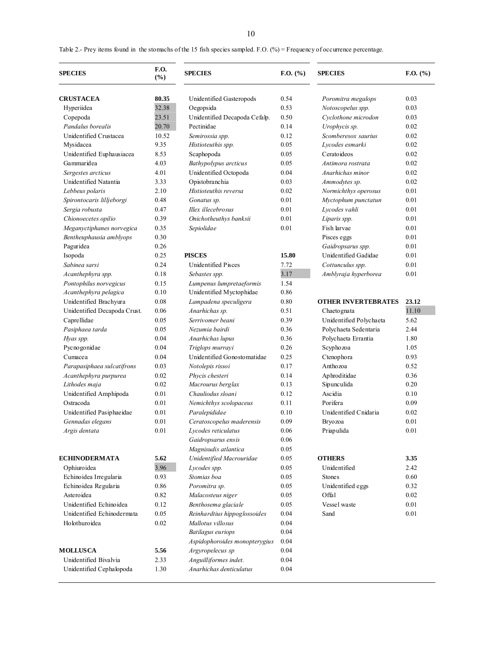Table 2.- Prey items found in the stomachs of the 15 fish species sampled. F.O. (%) = Frequency of occurrence percentage.

| <b>SPECIES</b>               | <b>F.O.</b><br><b>SPECIES</b><br>(%) |                               | $F.O.$ (%) | <b>SPECIES</b>             | $F.O.$ (%) |  |
|------------------------------|--------------------------------------|-------------------------------|------------|----------------------------|------------|--|
| <b>CRUSTACEA</b>             | 80.35                                | Unidentified Gasteropods      | 0.54       | Poromitra megalops         | 0.03       |  |
| Hyperiidea                   | 32.38                                | Oegopsida                     | 0.53       | Notoscopelus spp.          | 0.03       |  |
| Copepoda                     | 23.51                                | Unidentified Decapoda Cefalp. | 0.50       | Cyclothone microdon        | 0.03       |  |
| Pandalus borealis            | 20.70                                | Pectinidae                    | 0.14       | Urophycis sp.              | 0.02       |  |
| Unidentified Crustacea       | 10.52                                | Semirossia spp.               | 0.12       | Scomberesox saurius        | 0.02       |  |
| Mysidacea                    | 9.35                                 | Histioteuthis spp.            | 0.05       | Lycodes esmarki            | 0.02       |  |
| Unidentified Euphausiacea    | 8.53                                 | Scaphopoda                    | 0.05       | Cerato ideos               | 0.02       |  |
| Gammaridea                   | 4.03                                 | Bathypolypus arcticus         | 0.05       | Antimora rostrata          | 0.02       |  |
| Sergestes arcticus           | 4.01                                 | Unidentified Octopoda         | 0.04       | Anarhichas minor           | 0.02       |  |
| Unidentified Natantia        | 3.33                                 | Opistobranchia                | 0.03       | Ammodytes sp.              | 0.02       |  |
| Lebbeus polaris              | 2.10                                 | Histioteuthis reversa         | 0.02       | Normichthys operosus       | 0.01       |  |
| Spirontocaris lilljeborgi    | 0.48                                 | Gonatus sp.                   | 0.01       | Myctophum punctatun        | 0.01       |  |
| Sergia robusta               | 0.47                                 | Illex illecebrosus            | 0.01       | Lycodes vahli              | 0.01       |  |
| Chionoecetes opilio          | 0.39                                 | Onichotheuthys banksii        | 0.01       | Liparis spp.               | 0.01       |  |
| Meganyctiphanes norvegica    | 0.35                                 | Sepiolidae                    | 0.01       | Fish larvae                | 0.01       |  |
| Bentheuphausia amblyops      | 0.30                                 |                               |            | Pisces eggs                | 0.01       |  |
| Paguridea                    | 0.26                                 |                               |            | Gaidropsarus spp.          | 0.01       |  |
| Isopoda                      | 0.25                                 | <b>PISCES</b>                 | 15.80      | Unidentified Gadidae       | 0.01       |  |
| Sabinea sarsi                | 0.24                                 | <b>Unidentified Pisces</b>    | 7.72       | Cottunculus spp.           | 0.01       |  |
| Acanthephyra spp.            | 0.18                                 | Sebastes spp.                 | 3.17       | Amblyraja hyperborea       | 0.01       |  |
| Pontophilus norvegicus       | 0.15                                 | Lumpenus lumpretaeformis      | 1.54       |                            |            |  |
| Acanthephyra pelagica        | 0.10                                 | Unidentified Myctophidae      | 0.86       |                            |            |  |
| Unidentified Brachyura       | 0.08                                 | Lampadena speculigera         | $0.80\,$   | <b>OTHER INVERTEBRATES</b> | 23.12      |  |
| Unidentified Decapoda Crust. | 0.06                                 | Anarhichas sp.                | 0.51       | Chaetognata                | 11.10      |  |
| Caprellidae                  | 0.05                                 | Serrivomer beani              | 0.39       | Unidentified Polychaeta    | 5.62       |  |
| Pasiphaea tarda              | 0.05                                 | Nezumia bairdi                | 0.36       | Polychaeta Sedentaria      | 2.44       |  |
| Hyas spp.                    | 0.04                                 | Anarhichas lupus              | 0.36       | Polychaeta Errantia        | 1.80       |  |
| Pycnogonidae                 | 0.04                                 | Triglops murrayi              | 0.26       | Scyphozoa                  | 1.05       |  |
| Cumacea                      | 0.04                                 | Unidentified Gonostomatidae   | 0.25       | Ctenophora                 | 0.93       |  |
| Parapasiphaea sulcatifrons   | 0.03                                 | Notolepis rissoi              | 0.17       | Anthozoa                   | 0.52       |  |
| Acanthephyra purpurea        | 0.02                                 | Phycis chesteri               | 0.14       | Aphroditidae               | 0.36       |  |
| Lithodes maja                | 0.02                                 | Macrourus berglax             | 0.13       | Sipunculida                | 0.20       |  |
| Unidentified Amphipoda       | 0.01                                 | Chauliodus sloani             | 0.12       | Ascidia                    | 0.10       |  |
| Ostracoda                    | 0.01                                 | Nemichthys scolopaceus        | 0.11       | Porifera                   | 0.09       |  |
| Unidentified Pasiphaeidae    | 0.01                                 | Paralepididae                 | 0.10       | Unidentified Cnidaria      | 0.02       |  |
| Gennadas elegans             | 0.01                                 | Ceratoscopelus maderensis     | 0.09       | Bryozoa                    | 0.01       |  |
| Argis dentata                | $0.01\,$                             | Lycodes reticulatus           | 0.06       | Priapulida                 | $0.01\,$   |  |
|                              |                                      | Gaidropsarus ensis            | 0.06       |                            |            |  |
|                              |                                      | Magnisudis atlantica          | 0.05       |                            |            |  |
| <b>ECHINODERMATA</b>         | 5.62                                 | Unidentified Macrouridae      | 0.05       | <b>OTHERS</b>              | 3.35       |  |
| Ophiuroidea                  | 3.96                                 | Lycodes spp.                  | 0.05       | Unidentified               | 2.42       |  |
| Echinoidea Irregularia       | 0.93                                 | Stomias boa                   | 0.05       | <b>Stones</b>              | 0.60       |  |
| Echinoidea Regularia         | 0.86                                 | Poromitra sp.                 | 0.05       | Unidentified eggs          | 0.32       |  |
| Asteroidea                   | 0.82                                 | Malacosteus niger             | 0.05       | Offal                      | 0.02       |  |
| Unidentified Echinoidea      | 0.12                                 | Benthosema glaciale           | 0.05       | Vessel waste               | $0.01\,$   |  |
| Unidentified Echinodermata   | 0.05                                 | Reinhardtius hippoglossoides  | 0.04       | Sand                       | 0.01       |  |
| Holothuroidea                | 0.02                                 | Mallotus villosus             | $0.04\,$   |                            |            |  |
|                              |                                      | Batilagus euriops             | 0.04       |                            |            |  |
|                              |                                      | Aspidophoroides monopterygius | 0.04       |                            |            |  |
| <b>MOLLUSCA</b>              | 5.56                                 | Argyropelecus sp              | 0.04       |                            |            |  |
| Unidentified Bivalvia        | 2.33                                 | Anguilliformes indet.         | 0.04       |                            |            |  |
| Unidentified Cephalopoda     | 1.30                                 | Anarhichas denticulatus       | 0.04       |                            |            |  |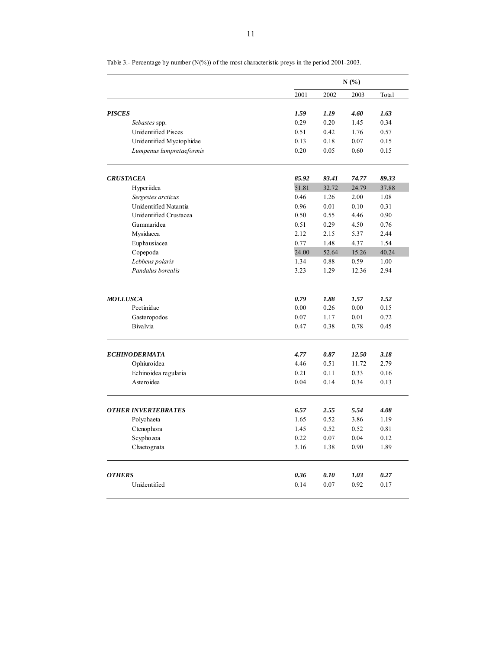|                                             |              | N(%)         |              |              |  |  |  |  |
|---------------------------------------------|--------------|--------------|--------------|--------------|--|--|--|--|
|                                             | 2001         | 2002         | 2003         | Total        |  |  |  |  |
|                                             |              |              |              |              |  |  |  |  |
| <b>PISCES</b>                               | 1.59<br>0.29 | 1.19<br>0.20 | 4.60<br>1.45 | 1.63<br>0.34 |  |  |  |  |
| Sebastes spp.<br><b>Unidentified Pisces</b> | 0.51         | 0.42         | 1.76         | 0.57         |  |  |  |  |
| Unidentified Myctophidae                    | 0.13         | 0.18         | 0.07         | 0.15         |  |  |  |  |
| Lumpenus lumpretaeformis                    | 0.20         | 0.05         | 0.60         | 0.15         |  |  |  |  |
| <b>CRUSTACEA</b>                            | 85.92        | 93.41        | 74.77        | 89.33        |  |  |  |  |
| Hyperiidea                                  | 51.81        | 32.72        | 24.79        | 37.88        |  |  |  |  |
| Sergestes arcticus                          | 0.46         | 1.26         | 2.00         | 1.08         |  |  |  |  |
| Unidentified Natantia                       | 0.96         | 0.01         | 0.10         | 0.31         |  |  |  |  |
| Unidentified Crustacea                      | 0.50         | 0.55         | 4.46         | 0.90         |  |  |  |  |
| Gammaridea                                  | 0.51         | 0.29         | 4.50         | 0.76         |  |  |  |  |
| Mysidacea                                   | 2.12         | 2.15         | 5.37         | 2.44         |  |  |  |  |
| Euphausiacea                                | 0.77         | 1.48         | 4.37         | 1.54         |  |  |  |  |
| Copepoda                                    | 24.00        | 52.64        | 15.26        | 40.24        |  |  |  |  |
| Lebbeus polaris                             | 1.34         | 0.88         | 0.59         | 1.00         |  |  |  |  |
| Pandalus borealis                           | 3.23         | 1.29         | 12.36        | 2.94         |  |  |  |  |
|                                             |              |              |              |              |  |  |  |  |
| <b>MOLLUSCA</b>                             | 0.79         | 1.88         | 1.57         | 1.52         |  |  |  |  |
| Pectinidae                                  | 0.00         | 0.26         | 0.00         | 0.15         |  |  |  |  |
| Gasteropodos                                | 0.07         | 1.17         | 0.01         | 0.72         |  |  |  |  |
| <b>Bivalvia</b>                             | 0.47         | 0.38         | 0.78         | 0.45         |  |  |  |  |
| <b>ECHINODERMATA</b>                        | 4.77         | 0.87         | 12.50        | 3.18         |  |  |  |  |
| Ophiuroidea                                 | 4.46         | 0.51         | 11.72        | 2.79         |  |  |  |  |
| Echinoidea regularia                        | 0.21         | 0.11         | 0.33         | 0.16         |  |  |  |  |
| Asteroidea                                  | 0.04         | 0.14         | 0.34         | 0.13         |  |  |  |  |
| <b>OTHER INVERTEBRATES</b>                  | 6.57         | 2.55         | 5.54         | 4.08         |  |  |  |  |
| Polychaeta                                  | 1.65         | 0.52         | 3.86         | 1.19         |  |  |  |  |
| Ctenophora                                  | 1.45         | 0.52         | 0.52         | 0.81         |  |  |  |  |
| Scyphozoa                                   | 0.22         | 0.07         | 0.04         | 0.12         |  |  |  |  |
| Chaetognata                                 | 3.16         | 1.38         | 0.90         | 1.89         |  |  |  |  |
| <b>OTHERS</b>                               | 0.36         | 0.10         |              | 0.27         |  |  |  |  |
|                                             |              |              | 1.03         |              |  |  |  |  |
| Unidentified                                | 0.14         | 0.07         | 0.92         | 0.17         |  |  |  |  |

Table 3.- Percentage by number (N(%)) of the most characteristic preys in the period 2001-2003.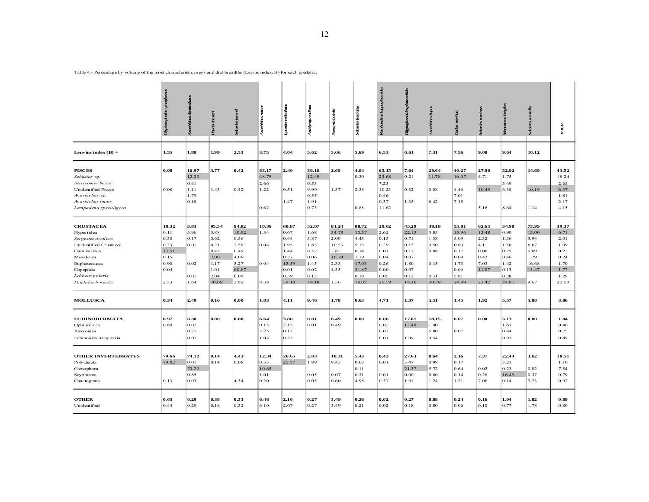| ٧ |
|---|

Table 4.- Percentage by volume of the most characteristic preys and diet breadths (Levins index, B) for each predator.

|                                                                                           |                        |                                        | $\bm{p}_{\bm{y}}$ ás che: |                       | <b>Surfictus</b> mind                  | Lycoles reticulates          | snblyrga raliata             | Neguria bainti                | Sebastes                             | divina dius hippoglassoides    | Hypoglossides pla                      |                                      |                                      |                              | bergia                                 | <b>Sebastes</b>              | TOTAL                                 |
|-------------------------------------------------------------------------------------------|------------------------|----------------------------------------|---------------------------|-----------------------|----------------------------------------|------------------------------|------------------------------|-------------------------------|--------------------------------------|--------------------------------|----------------------------------------|--------------------------------------|--------------------------------------|------------------------------|----------------------------------------|------------------------------|---------------------------------------|
| Lenvins index $(B)$ =                                                                     | 1.55                   | 1.80                                   | 1.99                      | 2.53                  | 3.75                                   | 4.04                         | 5.62                         | 5.66                          | 5.69                                 | 6.53                           | 6.61                                   | 7.31                                 | 7.56                                 | 9.08                         | 9.64                                   | 10.12                        |                                       |
| <b>PISCES</b><br>Sebastes sp.<br>Serrivomer beani                                         | 0.08                   | 16.97<br>12.20<br>0.41                 | 3.77                      | 0.42                  | 63.17<br>48.79<br>2.66                 | 2.40                         | 36.16<br>12.49<br>0.53       | 2.69                          | 4.94<br>0.30                         | 65.15<br>23.68<br>7.23         | 7.64<br>0.21                           | 28.64<br>11.78                       | 40.27<br>16.07                       | 27.90<br>4.71                | 32.92<br>1.75<br>3.49                  | 14.69                        | 43.52<br>18.24<br>2.65                |
| <b>Unidentified Pisces</b><br>Anarhichas sp.<br>Anarhichas lupus<br>Lampadena speculigera | 0.08                   | 1.11<br>1.79<br>0.18                   | 1.43                      | 0.42                  | 1.22<br>0.62                           | 0.51<br>1.47                 | 9.99<br>0.55<br>1.91<br>0.73 | 1.37                          | 2.38<br>0.88                         | 10.23<br>0.46<br>0.37<br>11.62 | 0.32<br>1.35                           | 0.08<br>8.42                         | 4.46<br>7.01<br>7.15                 | 10.49<br>5.16                | 6.38<br>8.64                           | 10.19<br>1.14                | 6.37<br>1.81<br>2.17<br>4.15          |
| <b>CRUSTACEA</b><br>Hyperiidea                                                            | 18.32<br>0.11          | 5.83<br>3.96                           | 95.54<br>3.88             | 94.82<br>10.92        | 10.36<br>1.34                          | 60.87<br>0.67                | 52.07<br>1.68                | 81.24<br>34.78                | 88.72<br>10.57                       | 29.62<br>2.62                  | 45.29<br>22.13                         | 38.18<br>3.85                        | 55.81<br>15.96                       | 62.65<br>13.48               | 34.90<br>0.90                          | 73.99<br>15.00               | 39.37<br>6.71                         |
| Sergestes arcticus<br>Unidentified Crustacea<br>Gammaridea                                | 0.30<br>0.33<br>13.51  | 0.17<br>0.01                           | 0.62<br>4.21<br>0.43      | 0.56<br>7.58<br>0.49  | 0.04                                   | 0.44<br>1.95<br>1.44         | 3.87<br>1.83<br>0.52         | 2.09<br>10.53<br>2.82         | 4.43<br>5.15<br>0.14                 | 0.15<br>0.29<br>0.01           | 0.71<br>0.15<br>0.17                   | 1.38<br>0.50<br>0.08                 | 5.09<br>0.80<br>0.17                 | 2.32<br>4.11<br>0.06         | 1.36<br>1.50<br>0.25                   | 3.94<br>6.67<br>0.09         | 2.01<br>1.09<br>0.22                  |
| Mysidacea<br>Euphausiacea<br>Copepoda                                                     | 0.15<br>0.90<br>0.04   | 0.02                                   | 7.00<br>1.17<br>1.01      | 4.09<br>5.27<br>60.87 | 0.04                                   | 0.27<br>15.59<br>0.01        | 0.06<br>1.45<br>0.02         | 16.70<br>2.33<br>4.35         | 1.79<br>17.03<br>31.87               | 0.04<br>0.26<br>0.00           | 0.07<br>1.80<br>0.07                   | 0.15                                 | 0.09<br>1.73<br>0.06                 | 0.42<br>7.03<br>11.07        | 0.46<br>1.42<br>0.13                   | 1.29<br>16.68<br>13.47       | 0.24<br>1.70<br>1.77                  |
| Lebbeus polaris<br>Pandalus borealis                                                      | 2.53                   | 0.01<br>1.64                           | 2.04<br>70.08             | 0.09<br>2.92          | 8.38                                   | 0.59<br>39.10                | 0.12<br>38.18                | 1.56                          | 0.19<br>16.02                        | 0.05<br>25.59                  | 0.12<br>18.36                          | 0.31<br>30.79                        | 5.81<br>24.89                        | 22.42                        | 0.28<br>24.01                          | 9.67                         | 1.28<br>22.50                         |
| <b>MOLLUSCA</b>                                                                           | 0.34                   | 2.49                                   | 0.16                      | 0.00                  | 1.03                                   | 4.11                         | 9.46                         | 1.78                          | 0.65                                 | 4.71                           | 1.37                                   | 5.51                                 | 1.45                                 | 1.92                         | 5.57                                   | 5.88                         | 3.86                                  |
| <b>ECHINODERMATA</b><br>Ophiuroidea<br>Asteroidea<br>Echinoidea irregularia               | 0.97<br>0.89           | 0.30<br>0.02<br>0.21<br>0.07           | 0.00                      | 0.00                  | 6.64<br>0.15<br>5.25<br>1.04           | 3.80<br>3.15<br>0.13<br>0.33 | 0.01<br>0.01                 | 0.49<br>0.49                  | 0.00                                 | 0.06<br>0.02<br>0.03<br>0.01   | 17.81<br>13.49<br>1.09                 | 18.15<br>1.40<br>5.80<br>9.54        | 0.07<br>0.07                         | 0.00                         | 3.13<br>1.61<br>0.44<br>0.91           | 0.00                         | 1.84<br>0.46<br>0.75<br>0.49          |
| <b>OTHER INVERTEBRATES</b><br>Polychaeta<br>Ctenophora<br>Scyphozoa<br>Chaetognata        | 79.66<br>79.02<br>0.13 | 74.12<br>0.01<br>73.23<br>0.85<br>0.03 | 0.14<br>0.14              | 4.43<br>0.08<br>4.34  | 12.34<br>0.33<br>10.65<br>1.01<br>0.20 | 26.65<br>25.77               | 2.03<br>1.89<br>0.05<br>0.05 | 10.31<br>9.45<br>0.07<br>0.60 | 5.43<br>0.03<br>0.11<br>0.31<br>4.98 | 0.43<br>0.01<br>0.01<br>0.37   | 27.63<br>3.47<br>21.37<br>0.00<br>1.91 | 8.64<br>0.98<br>5.72<br>0.00<br>1.24 | 2.16<br>0.17<br>0.64<br>0.14<br>1.21 | 7.37<br>0.02<br>0.28<br>7.08 | 22.44<br>3.21<br>0.23<br>16.49<br>0.14 | 3.62<br>0.02<br>0.37<br>3.23 | 10.51<br>1.10<br>7.54<br>0.79<br>0.92 |
| <b>OTHER</b><br>Unidentified                                                              | 0.63<br>0.44           | 0.29<br>0.29                           | 0.38<br>0.18              | 0.33<br>0.32          | 6.46<br>6.10                           | 2.16<br>2.07                 | 0.27<br>0.27                 | 3.49<br>3.49                  | 0.26<br>0.21                         | 0.02<br>0.02                   | 0.27<br>0.18                           | $\bf 0.88$<br>0.80                   | 0.24<br>0.06                         | 0.16<br>0.10                 | 1.04<br>0.77                           | 1.82<br>1.78                 | 0.89<br>0.80                          |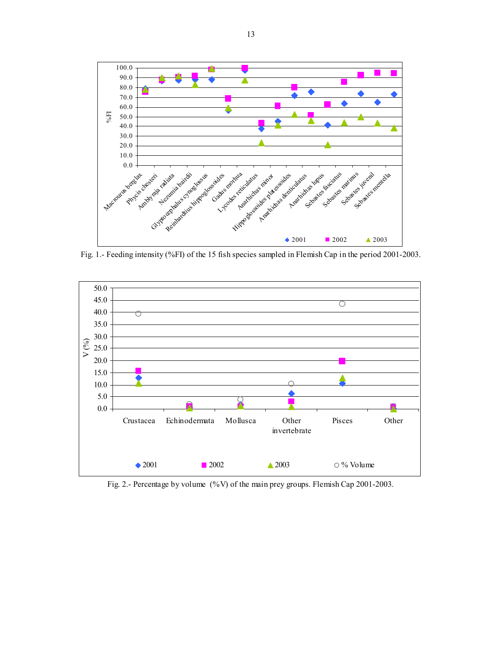

Fig. 1.- Feeding intensity (%FI) of the 15 fish species sampled in Flemish Cap in the period 2001-2003.



Fig. 2.- Percentage by volume (%V) of the main prey groups. Flemish Cap 2001-2003.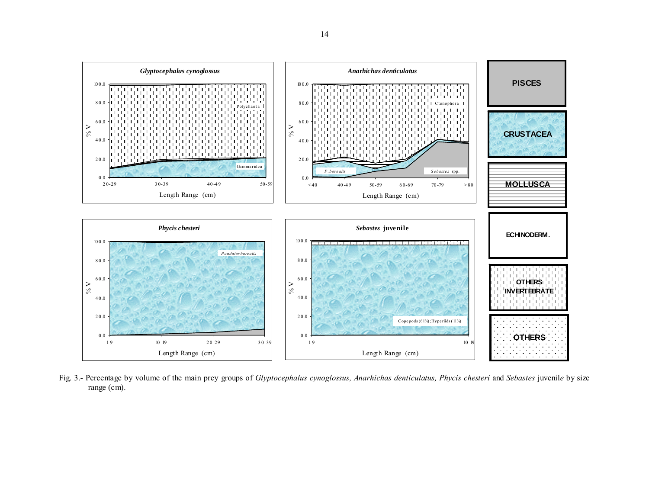

Fig. 3.- Percentage by volume of the main prey groups of *Glyptocephalus cynoglossus, Anarhichas denticulatus, Phycis chesteri* and *Sebastes* juvenil*e* by size range (cm).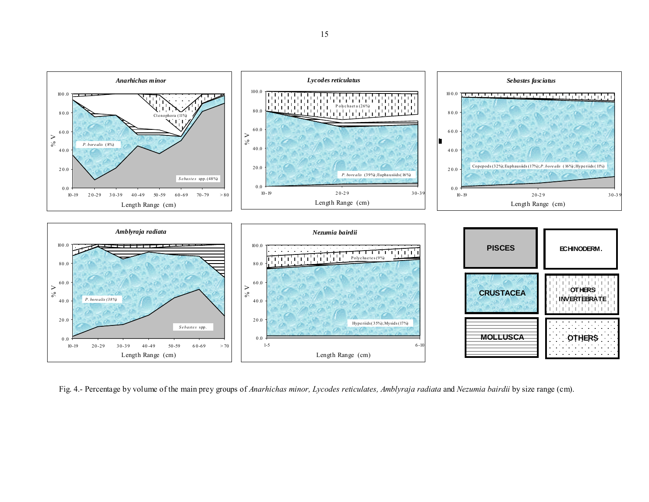

Fig. 4.- Percentage by volume of the main prey groups of *Anarhichas minor, Lycodes reticulates, Amblyraja radiata* and *Nezumia bairdii* by size range (cm).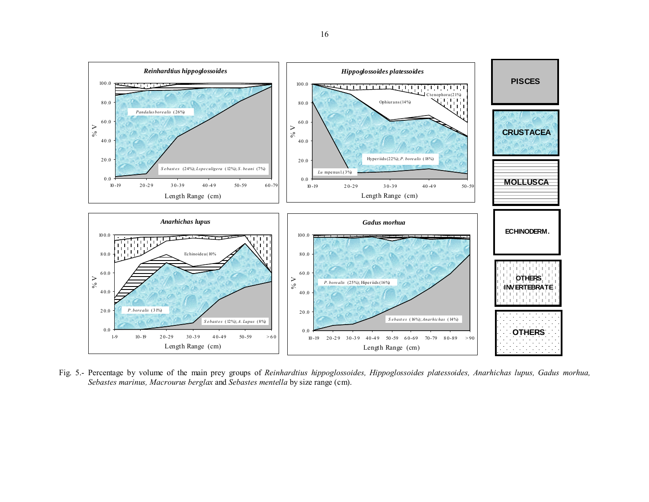

Fig. 5.- Percentage by volume of the main prey groups of *Reinhardtius hippoglossoides, Hippoglossoides platessoides, Anarhichas lupus, Gadus morhua, Sebastes marinus, Macrourus berglax* and *Sebastes mentella* by size range (cm).